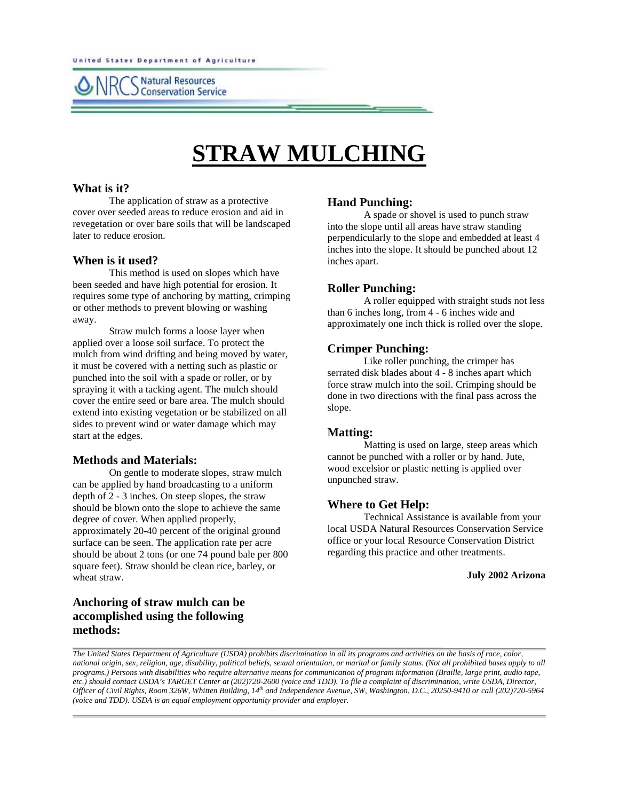**Natural Resources Conservation Service** 

# **STRAW MULCHING**

#### **What is it?**

The application of straw as a protective cover over seeded areas to reduce erosion and aid in revegetation or over bare soils that will be landscaped later to reduce erosion.

#### **When is it used?**

This method is used on slopes which have been seeded and have high potential for erosion. It requires some type of anchoring by matting, crimping or other methods to prevent blowing or washing away.

Straw mulch forms a loose layer when applied over a loose soil surface. To protect the mulch from wind drifting and being moved by water, it must be covered with a netting such as plastic or punched into the soil with a spade or roller, or by spraying it with a tacking agent. The mulch should cover the entire seed or bare area. The mulch should extend into existing vegetation or be stabilized on all sides to prevent wind or water damage which may start at the edges.

#### **Methods and Materials:**

On gentle to moderate slopes, straw mulch can be applied by hand broadcasting to a uniform depth of 2 - 3 inches. On steep slopes, the straw should be blown onto the slope to achieve the same degree of cover. When applied properly, approximately 20-40 percent of the original ground surface can be seen. The application rate per acre should be about 2 tons (or one 74 pound bale per 800 square feet). Straw should be clean rice, barley, or wheat straw.

### **Anchoring of straw mulch can be accomplished using the following methods:**

#### **Hand Punching:**

A spade or shovel is used to punch straw into the slope until all areas have straw standing perpendicularly to the slope and embedded at least 4 inches into the slope. It should be punched about 12 inches apart.

#### **Roller Punching:**

A roller equipped with straight studs not less than 6 inches long, from 4 - 6 inches wide and approximately one inch thick is rolled over the slope.

#### **Crimper Punching:**

Like roller punching, the crimper has serrated disk blades about 4 - 8 inches apart which force straw mulch into the soil. Crimping should be done in two directions with the final pass across the slope.

#### **Matting:**

Matting is used on large, steep areas which cannot be punched with a roller or by hand. Jute, wood excelsior or plastic netting is applied over unpunched straw.

#### **Where to Get Help:**

Technical Assistance is available from your local USDA Natural Resources Conservation Service office or your local Resource Conservation District regarding this practice and other treatments.

**July 2002 Arizona**

*The United States Department of Agriculture (USDA) prohibits discrimination in all its programs and activities on the basis of race, color, national origin, sex, religion, age, disability, political beliefs, sexual orientation, or marital or family status. (Not all prohibited bases apply to all programs.) Persons with disabilities who require alternative means for communication of program information (Braille, large print, audio tape, etc.) should contact USDA's TARGET Center at (202)720-2600 (voice and TDD). To file a complaint of discrimination, write USDA, Director, Officer of Civil Rights, Room 326W, Whitten Building, 14th and Independence Avenue, SW, Washington, D.C., 20250-9410 or call (202)720-5964 (voice and TDD). USDA is an equal employment opportunity provider and employer.*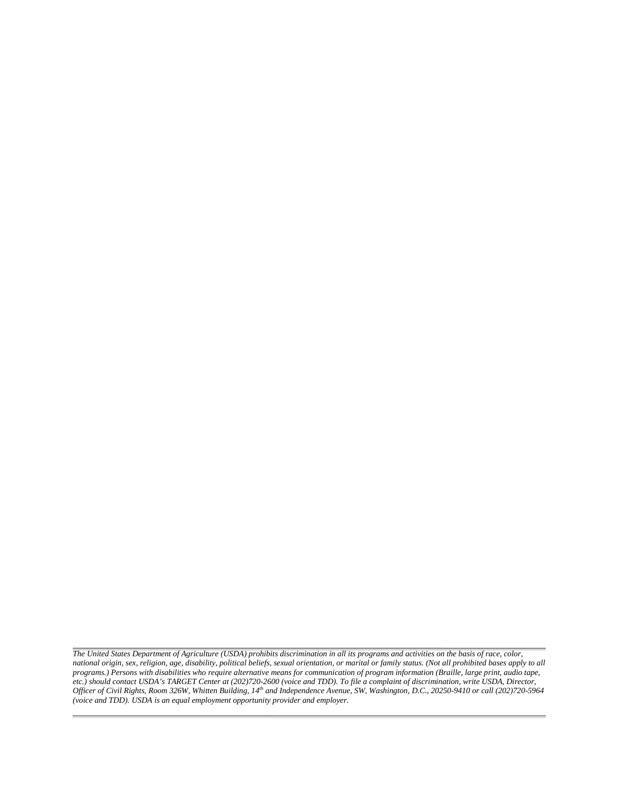*The United States Department of Agriculture (USDA) prohibits discrimination in all its programs and activities on the basis of race, color, national origin, sex, religion, age, disability, political beliefs, sexual orientation, or marital or family status. (Not all prohibited bases apply to all programs.) Persons with disabilities who require alternative means for communication of program information (Braille, large print, audio tape, etc.) should contact USDA's TARGET Center at (202)720-2600 (voice and TDD). To file a complaint of discrimination, write USDA, Director, Officer of Civil Rights, Room 326W, Whitten Building, 14th and Independence Avenue, SW, Washington, D.C., 20250-9410 or call (202)720-5964 (voice and TDD). USDA is an equal employment opportunity provider and employer.*